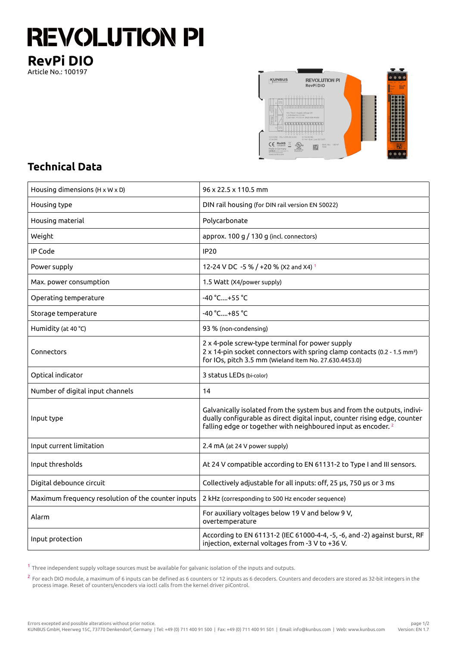## **REVOLUTION PI RevPi DIO**

Article No.: 100197



## **Technical Data**

| Housing dimensions ( $H \times W \times D$ )       | 96 x 22.5 x 110.5 mm                                                                                                                                                                                                             |
|----------------------------------------------------|----------------------------------------------------------------------------------------------------------------------------------------------------------------------------------------------------------------------------------|
| Housing type                                       | DIN rail housing (for DIN rail version EN 50022)                                                                                                                                                                                 |
| Housing material                                   | Polycarbonate                                                                                                                                                                                                                    |
| Weight                                             | approx. 100 g / 130 g (incl. connectors)                                                                                                                                                                                         |
| IP Code                                            | <b>IP20</b>                                                                                                                                                                                                                      |
| Power supply                                       | 12-24 V DC -5 % / +20 % (X2 and X4) 1                                                                                                                                                                                            |
| Max. power consumption                             | 1.5 Watt (X4/power supply)                                                                                                                                                                                                       |
| Operating temperature                              | -40 °C+55 °C                                                                                                                                                                                                                     |
| Storage temperature                                | -40 °C+85 °C                                                                                                                                                                                                                     |
| Humidity (at 40 °C)                                | 93 % (non-condensing)                                                                                                                                                                                                            |
| Connectors                                         | 2 x 4-pole screw-type terminal for power supply<br>2 x 14-pin socket connectors with spring clamp contacts (0.2 - 1.5 mm <sup>2</sup> )<br>for IOs, pitch 3.5 mm (Wieland Item No. 27.630.4453.0)                                |
| Optical indicator                                  | 3 status LEDs (bi-color)                                                                                                                                                                                                         |
| Number of digital input channels                   | 14                                                                                                                                                                                                                               |
| Input type                                         | Galvanically isolated from the system bus and from the outputs, indivi-<br>dually configurable as direct digital input, counter rising edge, counter<br>falling edge or together with neighboured input as encoder. <sup>2</sup> |
| Input current limitation                           | 2.4 mA (at 24 V power supply)                                                                                                                                                                                                    |
| Input thresholds                                   | At 24 V compatible according to EN 61131-2 to Type I and III sensors.                                                                                                                                                            |
| Digital debounce circuit                           | Collectively adjustable for all inputs: off, 25 µs, 750 µs or 3 ms                                                                                                                                                               |
| Maximum frequency resolution of the counter inputs | 2 kHz (corresponding to 500 Hz encoder sequence)                                                                                                                                                                                 |
| Alarm                                              | For auxiliary voltages below 19 V and below 9 V,<br>overtemperature                                                                                                                                                              |
| Input protection                                   | According to EN 61131-2 (IEC 61000-4-4, -5, -6, and -2) against burst, RF<br>injection, external voltages from -3 V to +36 V.                                                                                                    |

 $^{\text{1}}$  Three independent supply voltage sources must be available for galvanic isolation of the inputs and outputs.

 $^2$  For each DIO module, a maximum of 6 inputs can be defined as 6 counters or 12 inputs as 6 decoders. Counters and decoders are stored as 32-bit integers in the process image. Reset of counters/encoders via ioctl calls from the kernel driver piControl.